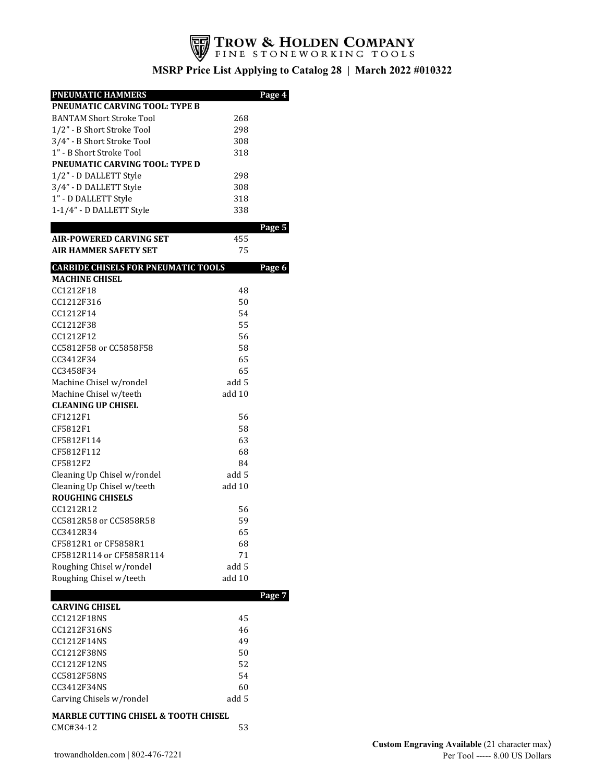

| <b>PNEUMATIC HAMMERS</b>                        |        | Page 4 |
|-------------------------------------------------|--------|--------|
| PNEUMATIC CARVING TOOL: TYPE B                  |        |        |
| <b>BANTAM Short Stroke Tool</b>                 | 268    |        |
| 1/2" - B Short Stroke Tool                      | 298    |        |
| 3/4" - B Short Stroke Tool                      | 308    |        |
| 1" - B Short Stroke Tool                        | 318    |        |
| <b>PNEUMATIC CARVING TOOL: TYPE D</b>           |        |        |
| 1/2" - D DALLETT Style                          | 298    |        |
| 3/4" - D DALLETT Style                          | 308    |        |
| 1" - D DALLETT Style                            | 318    |        |
| 1-1/4" - D DALLETT Style                        | 338    |        |
|                                                 |        |        |
|                                                 |        | Page 5 |
| <b>AIR-POWERED CARVING SET</b>                  | 455    |        |
| <b>AIR HAMMER SAFETY SET</b>                    | 75     |        |
| <b>CARBIDE CHISELS FOR PNEUMATIC TOOLS</b>      |        | Page 6 |
| <b>MACHINE CHISEL</b>                           |        |        |
| CC1212F18                                       | 48     |        |
| CC1212F316                                      | 50     |        |
| CC1212F14                                       | 54     |        |
| CC1212F38                                       | 55     |        |
| CC1212F12                                       | 56     |        |
| CC5812F58 or CC5858F58                          | 58     |        |
| CC3412F34                                       | 65     |        |
| CC3458F34                                       | 65     |        |
| Machine Chisel w/rondel                         | add 5  |        |
| Machine Chisel w/teeth                          | add 10 |        |
| <b>CLEANING UP CHISEL</b>                       |        |        |
| CF1212F1                                        | 56     |        |
| CF5812F1                                        | 58     |        |
| CF5812F114                                      | 63     |        |
| CF5812F112                                      | 68     |        |
| CF5812F2                                        | 84     |        |
| Cleaning Up Chisel w/rondel                     | add 5  |        |
| Cleaning Up Chisel w/teeth                      | add 10 |        |
| <b>ROUGHING CHISELS</b>                         |        |        |
| CC1212R12                                       | 56     |        |
| CC5812R58 or CC5858R58                          | 59     |        |
| CC3412R34                                       | 65     |        |
| CF5812R1 or CF5858R1                            | 68     |        |
| CF5812R114 or CF5858R114                        | 71     |        |
| Roughing Chisel w/rondel                        | add 5  |        |
| Roughing Chisel w/teeth                         | add 10 |        |
|                                                 |        |        |
|                                                 |        | Page 7 |
| <b>CARVING CHISEL</b><br><b>CC1212F18NS</b>     |        |        |
| CC1212F316NS                                    | 45     |        |
|                                                 | 46     |        |
| CC1212F14NS                                     | 49     |        |
| CC1212F38NS                                     | 50     |        |
| CC1212F12NS                                     | 52     |        |
| CC5812F58NS                                     | 54     |        |
| CC3412F34NS                                     | 60     |        |
| Carving Chisels w/rondel                        | add 5  |        |
| <b>MARBLE CUTTING CHISEL &amp; TOOTH CHISEL</b> |        |        |
| CMC#34-12                                       | 53     |        |
|                                                 |        |        |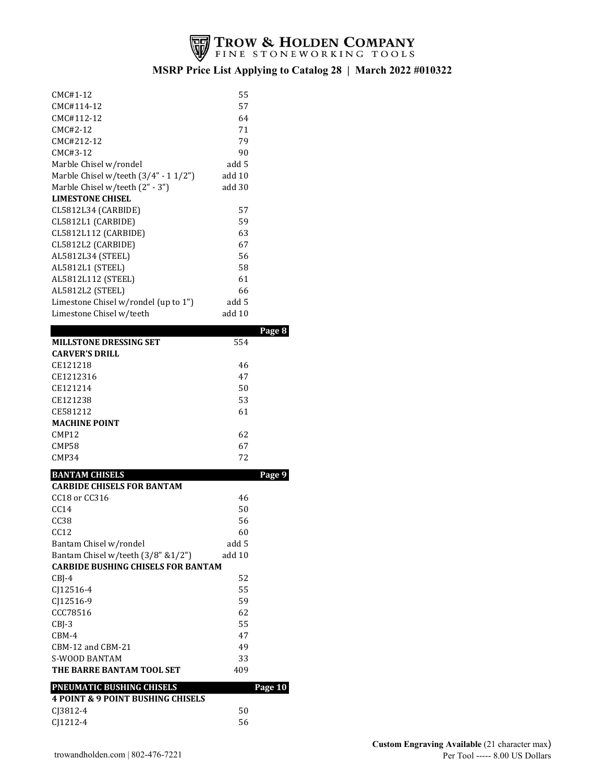

| CMC#1-12                                                                  | 55     |         |
|---------------------------------------------------------------------------|--------|---------|
| CMC#114-12                                                                | 57     |         |
| CMC#112-12                                                                | 64     |         |
| CMC#2-12                                                                  | 71     |         |
| CMC#212-12                                                                | 79     |         |
| CMC#3-12                                                                  | 90     |         |
| Marble Chisel w/rondel                                                    | add 5  |         |
| Marble Chisel w/teeth (3/4" - 11/2")                                      | add 10 |         |
| Marble Chisel w/teeth (2" - 3")                                           | add 30 |         |
| <b>LIMESTONE CHISEL</b>                                                   |        |         |
| CL5812L34 (CARBIDE)                                                       | 57     |         |
| CL5812L1 (CARBIDE)                                                        | 59     |         |
| CL5812L112 (CARBIDE)                                                      | 63     |         |
| CL5812L2 (CARBIDE)                                                        | 67     |         |
| AL5812L34 (STEEL)                                                         | 56     |         |
| AL5812L1 (STEEL)                                                          | 58     |         |
| AL5812L112 (STEEL)                                                        | 61     |         |
| AL5812L2 (STEEL)                                                          | 66     |         |
| Limestone Chisel w/rondel (up to 1")                                      | add 5  |         |
| Limestone Chisel w/teeth                                                  | add 10 |         |
|                                                                           |        | Page 8  |
| <b>MILLSTONE DRESSING SET</b>                                             | 554    |         |
| <b>CARVER'S DRILL</b>                                                     |        |         |
| CE121218                                                                  | 46     |         |
| CE1212316                                                                 | 47     |         |
| CE121214                                                                  | 50     |         |
| CE121238                                                                  | 53     |         |
| CE581212                                                                  | 61     |         |
| <b>MACHINE POINT</b>                                                      |        |         |
| CMP12                                                                     | 62     |         |
| CMP58                                                                     | 67     |         |
| CMP34                                                                     | 72     |         |
| <b>BANTAM CHISELS</b>                                                     |        | Page 9  |
| <b>CARBIDE CHISELS FOR BANTAM</b>                                         |        |         |
| CC18 or CC316                                                             | 46     |         |
| CC14                                                                      |        |         |
|                                                                           | 50     |         |
| CC38                                                                      | 56     |         |
| CC12                                                                      | 60     |         |
| Bantam Chisel w/rondel                                                    | add 5  |         |
| Bantam Chisel w/teeth (3/8" &1/2")                                        | add 10 |         |
| <b>CARBIDE BUSHING CHISELS FOR BANTAM</b>                                 |        |         |
| $CBJ-4$                                                                   | 52     |         |
| CJ12516-4                                                                 | 55     |         |
| CJ12516-9                                                                 | 59     |         |
| CCC78516                                                                  | 62     |         |
| CBJ-3                                                                     | 55     |         |
| CBM-4                                                                     | 47     |         |
| CBM-12 and CBM-21                                                         | 49     |         |
| S-WOOD BANTAM                                                             | 33     |         |
| THE BARRE BANTAM TOOL SET                                                 | 409    |         |
|                                                                           |        |         |
| PNEUMATIC BUSHING CHISELS<br><b>4 POINT &amp; 9 POINT BUSHING CHISELS</b> |        | Page 10 |
| CJ3812-4                                                                  | 50     |         |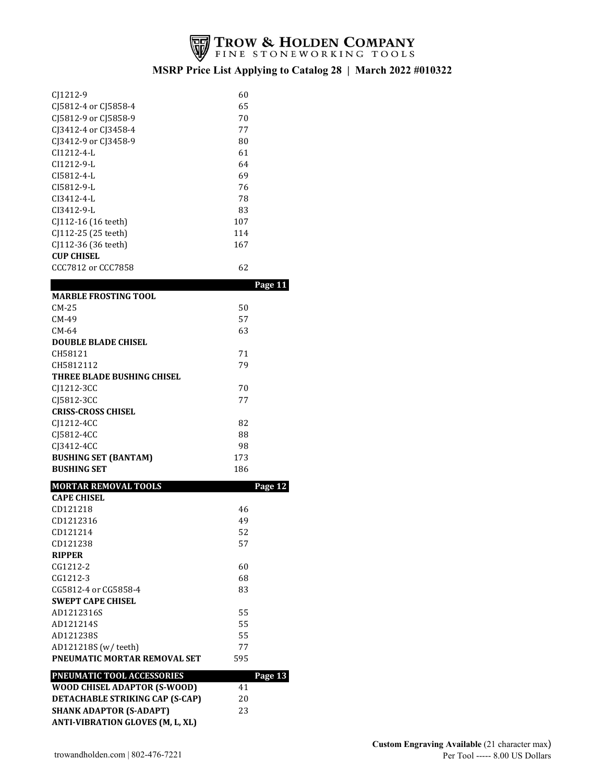

| C <sub>1212</sub> -9                           | 60                  |
|------------------------------------------------|---------------------|
| C <sub>15812</sub> -4 or C <sub>15858</sub> -4 | 65                  |
| C <sub>15812</sub> -9 or C <sub>15858</sub> -9 | 70                  |
| CJ3412-4 or CJ3458-4                           | 77                  |
| CJ3412-9 or CJ3458-9                           | 80                  |
| $CI1212 - 4 - L$                               | 61                  |
| $C11212 - 9 - L$                               | 64                  |
| $CI5812 - 4 - L$                               | 69                  |
| $C15812 - 9 - L$                               | 76                  |
| $CI3412 - 4 - L$                               | 78                  |
| $CI3412 - 9 - L$                               | 83                  |
| CJ112-16 (16 teeth)                            | 107                 |
| CJ112-25 (25 teeth)                            | 114                 |
| CJ112-36 (36 teeth)                            | 167                 |
| <b>CUP CHISEL</b>                              |                     |
| CCC7812 or CCC7858                             | 62                  |
|                                                | J<br>$\overline{A}$ |

|                                         |     | rage 11 |
|-----------------------------------------|-----|---------|
| <b>MARBLE FROSTING TOOL</b>             |     |         |
| $CM-25$                                 | 50  |         |
| $CM-49$                                 | 57  |         |
| CM-64                                   | 63  |         |
| <b>DOUBLE BLADE CHISEL</b>              |     |         |
| CH58121                                 | 71  |         |
| CH5812112                               | 79  |         |
| THREE BLADE BUSHING CHISEL              |     |         |
| CJ1212-3CC                              | 70  |         |
| CJ5812-3CC                              | 77  |         |
| <b>CRISS-CROSS CHISEL</b>               |     |         |
| CJ1212-4CC                              | 82  |         |
| CJ5812-4CC                              | 88  |         |
| CJ3412-4CC                              | 98  |         |
| <b>BUSHING SET (BANTAM)</b>             | 173 |         |
| <b>BUSHING SET</b>                      | 186 |         |
| <b>MORTAR REMOVAL TOOLS</b>             |     | Page 12 |
| <b>CAPE CHISEL</b>                      |     |         |
| CD121218                                | 46  |         |
| CD1212316                               | 49  |         |
| CD121214                                | 52  |         |
| CD121238                                | 57  |         |
| <b>RIPPER</b>                           |     |         |
| CG1212-2                                | 60  |         |
| CG1212-3                                | 68  |         |
| CG5812-4 or CG5858-4                    | 83  |         |
| <b>SWEPT CAPE CHISEL</b>                |     |         |
| AD1212316S                              | 55  |         |
| AD121214S                               | 55  |         |
| AD121238S                               | 55  |         |
| AD121218S (w/teeth)                     | 77  |         |
| PNEUMATIC MORTAR REMOVAL SET            | 595 |         |
| PNEUMATIC TOOL ACCESSORIES              |     | Page 13 |
| WOOD CHISEL ADAPTOR (S-WOOD)            | 41  |         |
| <b>DETACHABLE STRIKING CAP (S-CAP)</b>  | 20  |         |
| <b>SHANK ADAPTOR (S-ADAPT)</b>          | 23  |         |
| <b>ANTI-VIBRATION GLOVES (M, L, XL)</b> |     |         |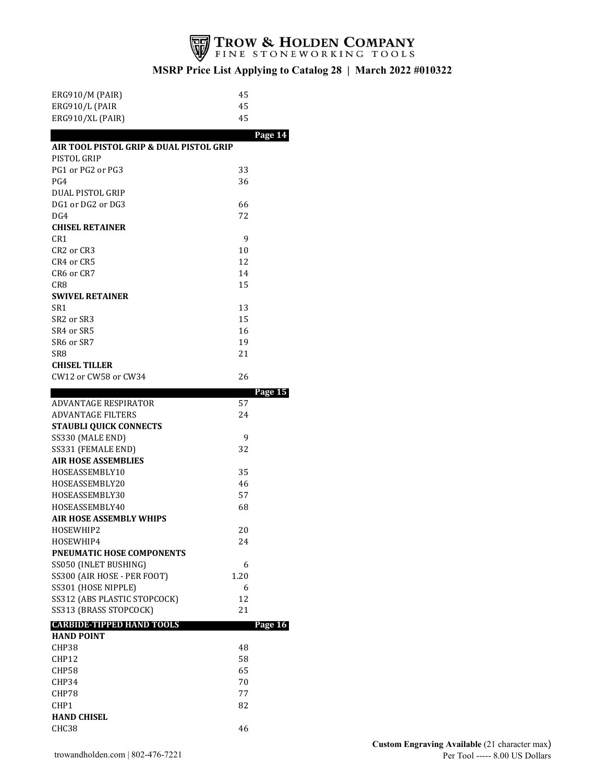

| <b>ERG910/M (PAIR)</b>                  | 45      |  |
|-----------------------------------------|---------|--|
| ERG910/L (PAIR                          | 45      |  |
| ERG910/XL (PAIR)                        | 45      |  |
|                                         | Page 14 |  |
| AIR TOOL PISTOL GRIP & DUAL PISTOL GRIP |         |  |
| PISTOL GRIP                             |         |  |
| PG1 or PG2 or PG3                       | 33      |  |
| PG4                                     | 36      |  |
| DUAL PISTOL GRIP                        |         |  |
| DG1 or DG2 or DG3                       | 66      |  |
| DG4                                     | 72      |  |
| <b>CHISEL RETAINER</b>                  |         |  |
| CR <sub>1</sub>                         | 9       |  |
| CR2 or CR3                              | 10      |  |
| CR4 or CR5                              | 12      |  |
| CR6 or CR7                              | 14      |  |
| CR8                                     | 15      |  |
| <b>SWIVEL RETAINER</b>                  |         |  |
| SR1                                     | 13      |  |
| SR <sub>2</sub> or SR <sub>3</sub>      | 15      |  |
| SR4 or SR5                              | 16      |  |
| SR6 or SR7                              | 19      |  |
| SR8                                     | 21      |  |
| <b>CHISEL TILLER</b>                    |         |  |
| CW12 or CW58 or CW34                    | 26      |  |
|                                         | Page 15 |  |
| ADVANTAGE RESPIRATOR                    | 57      |  |
| <b>ADVANTAGE FILTERS</b>                | 24      |  |
| <b>STAUBLI QUICK CONNECTS</b>           |         |  |
| SS330 (MALE END)                        | 9       |  |
| SS331 (FEMALE END)                      | 32      |  |
| <b>AIR HOSE ASSEMBLIES</b>              |         |  |
| HOSEASSEMBLY10                          | 35      |  |
| HOSEASSEMBLY20                          | 46      |  |
| HOSEASSEMBLY30                          | 57      |  |
| HOSEASSEMBLY40                          | 68      |  |
|                                         |         |  |
| <b>AIR HOSE ASSEMBLY WHIPS</b>          |         |  |
| HOSEWHIP2                               | 20      |  |
| HOSEWHIP4                               | 24      |  |
| PNEUMATIC HOSE COMPONENTS               |         |  |
| SS050 (INLET BUSHING)                   | 6       |  |
| SS300 (AIR HOSE - PER FOOT)             | 1.20    |  |
| SS301 (HOSE NIPPLE)                     | 6       |  |
| SS312 (ABS PLASTIC STOPCOCK)            | 12      |  |
| SS313 (BRASS STOPCOCK)                  | 21      |  |
| <b>CARBIDE-TIPPED HAND TOOLS</b>        | Page 16 |  |
| <b>HAND POINT</b>                       |         |  |
| CHP38                                   | 48      |  |
| CHP12                                   | 58      |  |
| CHP58                                   | 65      |  |
| CHP34                                   | 70      |  |
| CHP78                                   | 77      |  |
| CHP1                                    | 82      |  |
| <b>HAND CHISEL</b><br>CHC38             | 46      |  |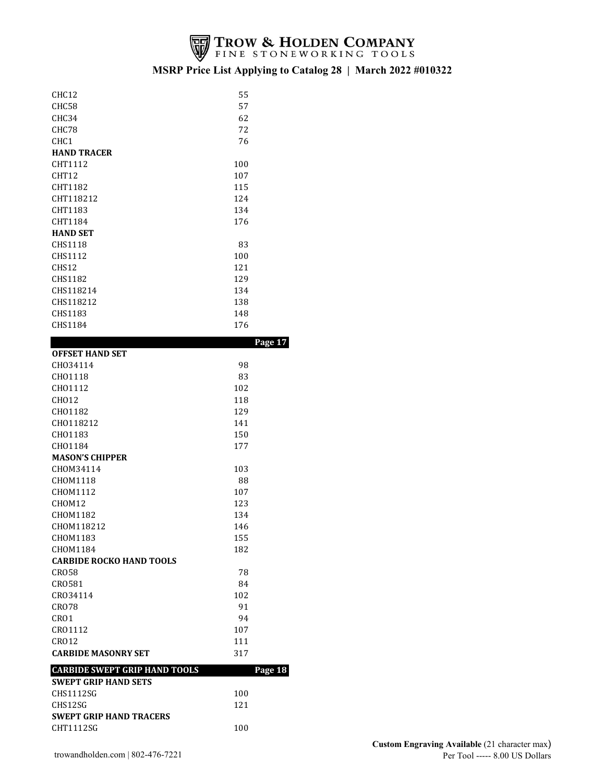

| CHC12                                | 55      |  |
|--------------------------------------|---------|--|
| CHC58                                | 57      |  |
| CHC34                                | 62      |  |
|                                      |         |  |
| CHC78                                | 72      |  |
| CHC1                                 | 76      |  |
| <b>HAND TRACER</b>                   |         |  |
| CHT1112                              | 100     |  |
| CHT12                                | 107     |  |
| CHT1182                              | 115     |  |
| CHT118212                            | 124     |  |
| CHT1183                              | 134     |  |
| CHT1184                              | 176     |  |
| <b>HAND SET</b>                      |         |  |
| CHS1118                              | 83      |  |
| CHS1112                              | 100     |  |
| CHS12                                | 121     |  |
| <b>CHS1182</b>                       | 129     |  |
| CHS118214                            | 134     |  |
| CHS118212                            | 138     |  |
| CHS1183                              | 148     |  |
| CHS1184                              | 176     |  |
|                                      |         |  |
|                                      | Page 17 |  |
| <b>OFFSET HAND SET</b>               |         |  |
| CH034114                             | 98      |  |
| CH01118                              | 83      |  |
| CH01112                              | 102     |  |
| CH012                                | 118     |  |
| CH01182                              | 129     |  |
| CH0118212                            | 141     |  |
| CH01183                              | 150     |  |
| CH01184                              | 177     |  |
| <b>MASON'S CHIPPER</b>               |         |  |
| CHOM34114                            | 103     |  |
| CHOM1118                             | 88      |  |
| CHOM1112                             | 107     |  |
| CHOM12                               | 123     |  |
| CHOM1182                             | 134     |  |
| CHOM118212                           | 146     |  |
| CHOM1183                             | 155     |  |
| CHOM1184                             | 182     |  |
| <b>CARBIDE ROCKO HAND TOOLS</b>      |         |  |
| <b>CRO58</b>                         | 78      |  |
| CR0581                               | 84      |  |
| CR034114                             | 102     |  |
|                                      |         |  |
| <b>CRO78</b>                         | 91      |  |
|                                      |         |  |
| CRO1                                 | 94      |  |
| CR01112                              | 107     |  |
| <b>CRO12</b>                         | 111     |  |
| <b>CARBIDE MASONRY SET</b>           | 317     |  |
| <b>CARBIDE SWEPT GRIP HAND TOOLS</b> | Page 18 |  |
| <b>SWEPT GRIP HAND SETS</b>          |         |  |
| CHS1112SG                            | 100     |  |
| CHS12SG                              | 121     |  |
| <b>SWEPT GRIP HAND TRACERS</b>       |         |  |
| CHT1112SG                            | 100     |  |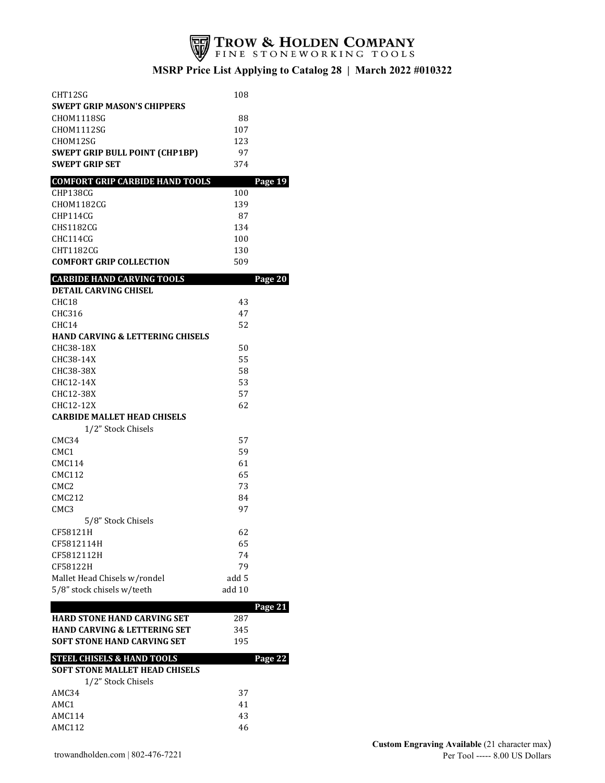

| CHT12SG                                     | 108    |         |
|---------------------------------------------|--------|---------|
| <b>SWEPT GRIP MASON'S CHIPPERS</b>          |        |         |
| CHOM1118SG                                  | 88     |         |
| CHOM1112SG                                  | 107    |         |
| CHOM12SG                                    | 123    |         |
| <b>SWEPT GRIP BULL POINT (CHP1BP)</b>       | 97     |         |
| <b>SWEPT GRIP SET</b>                       | 374    |         |
| <b>COMFORT GRIP CARBIDE HAND TOOLS</b>      |        | Page 19 |
| CHP138CG                                    | 100    |         |
| CHOM1182CG                                  | 139    |         |
| CHP114CG                                    | 87     |         |
| CHS1182CG                                   | 134    |         |
| CHC114CG                                    | 100    |         |
| CHT1182CG                                   | 130    |         |
| <b>COMFORT GRIP COLLECTION</b>              | 509    |         |
| <b>CARBIDE HAND CARVING TOOLS</b>           |        | Page 20 |
| <b>DETAIL CARVING CHISEL</b>                |        |         |
| CHC <sub>18</sub>                           | 43     |         |
| CHC316                                      | 47     |         |
| CHC14                                       | 52     |         |
| <b>HAND CARVING &amp; LETTERING CHISELS</b> |        |         |
| CHC38-18X                                   | 50     |         |
| CHC38-14X                                   | 55     |         |
| CHC38-38X                                   | 58     |         |
| CHC12-14X                                   | 53     |         |
| CHC12-38X                                   | 57     |         |
| CHC12-12X                                   | 62     |         |
| <b>CARBIDE MALLET HEAD CHISELS</b>          |        |         |
| 1/2" Stock Chisels                          |        |         |
| CMC34                                       | 57     |         |
| CMC1                                        | 59     |         |
| CMC114                                      | 61     |         |
| <b>CMC112</b>                               | 65     |         |
| CMC <sub>2</sub>                            | 73     |         |
| <b>CMC212</b>                               | 84     |         |
| CMC <sub>3</sub>                            | 97     |         |
| 5/8" Stock Chisels                          |        |         |
| CF58121H                                    | 62     |         |
| CF5812114H                                  | 65     |         |
| CF5812112H                                  | 74     |         |
| CF58122H                                    | 79     |         |
| Mallet Head Chisels w/rondel                | add 5  |         |
| 5/8" stock chisels w/teeth                  | add 10 |         |
|                                             |        | Page 21 |
| <b>HARD STONE HAND CARVING SET</b>          | 287    |         |
| <b>HAND CARVING &amp; LETTERING SET</b>     | 345    |         |
| <b>SOFT STONE HAND CARVING SET</b>          | 195    |         |
| <b>STEEL CHISELS &amp; HAND TOOLS</b>       |        | Page 22 |
| <b>SOFT STONE MALLET HEAD CHISELS</b>       |        |         |
| 1/2" Stock Chisels                          |        |         |
| AMC34                                       | 37     |         |
| AMC1                                        | 41     |         |
| <b>AMC114</b>                               | 43     |         |
| <b>AMC112</b>                               | 46     |         |
|                                             |        |         |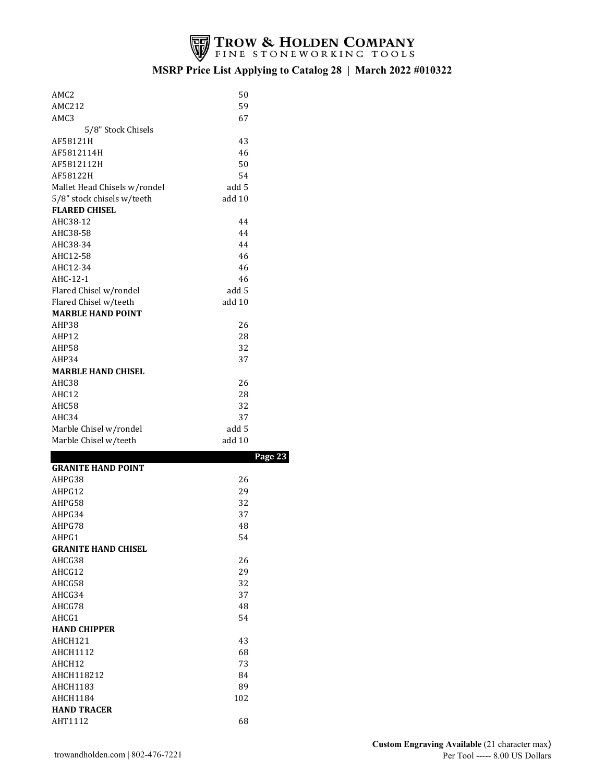

| AMC2                          | 50      |  |
|-------------------------------|---------|--|
| <b>AMC212</b>                 | 59      |  |
| AMC3                          | 67      |  |
| 5/8" Stock Chisels            |         |  |
| AF58121H                      | 43      |  |
| AF5812114H                    | 46      |  |
| AF5812112H                    | 50      |  |
| AF58122H                      | 54      |  |
| Mallet Head Chisels w/rondel  | add 5   |  |
| 5/8" stock chisels w/teeth    | add 10  |  |
| <b>FLARED CHISEL</b>          |         |  |
| AHC38-12                      | 44      |  |
| AHC38-58                      | 44      |  |
| AHC38-34                      | 44      |  |
| AHC12-58                      | 46      |  |
| AHC12-34                      | 46      |  |
| AHC-12-1                      | 46      |  |
| Flared Chisel w/rondel        | add 5   |  |
| Flared Chisel w/teeth         | add 10  |  |
| <b>MARBLE HAND POINT</b>      |         |  |
| AHP38                         | 26      |  |
| AHP12                         | 28      |  |
| AHP58                         | 32      |  |
| AHP34                         | 37      |  |
| <b>MARBLE HAND CHISEL</b>     |         |  |
| AHC38                         | 26      |  |
| AHC12                         | 28      |  |
| AHC58                         | 32      |  |
| AHC34                         | 37      |  |
| Marble Chisel w/rondel        | add 5   |  |
| Marble Chisel w/teeth         | add 10  |  |
|                               | Page 23 |  |
| <b>GRANITE HAND POINT</b>     |         |  |
|                               |         |  |
| AHPG38                        | 26      |  |
| AHPG12                        | 29      |  |
| AHPG58                        | 32      |  |
| AHPG34                        | 37      |  |
| AHPG78                        | 48      |  |
| AHPG1                         | 54      |  |
| <b>GRANITE HAND CHISEL</b>    |         |  |
| AHCG38                        | 26      |  |
| AHCG12                        | 29      |  |
| AHCG58                        | 32      |  |
| AHCG34                        | 37      |  |
| AHCG78                        | 48      |  |
| AHCG1                         | 54      |  |
| <b>HAND CHIPPER</b>           |         |  |
| AHCH121                       | 43      |  |
| <b>AHCH1112</b>               | 68      |  |
| AHCH12                        | 73      |  |
| AHCH118212                    | 84      |  |
| AHCH1183                      | 89      |  |
| <b>AHCH1184</b>               | 102     |  |
| <b>HAND TRACER</b><br>AHT1112 | 68      |  |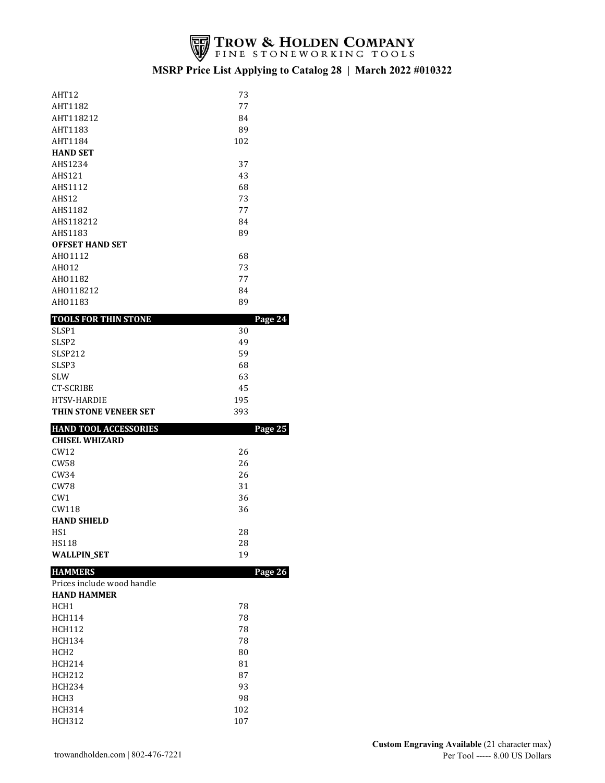

| AHT12                        | 73  |         |
|------------------------------|-----|---------|
| AHT1182                      | 77  |         |
| AHT118212                    | 84  |         |
| AHT1183                      | 89  |         |
| AHT1184                      | 102 |         |
| <b>HAND SET</b>              |     |         |
| AHS1234                      | 37  |         |
| <b>AHS121</b>                | 43  |         |
| AHS1112                      | 68  |         |
| AHS12                        | 73  |         |
| <b>AHS1182</b>               | 77  |         |
| AHS118212                    | 84  |         |
| AHS1183                      | 89  |         |
| <b>OFFSET HAND SET</b>       |     |         |
| AH01112                      | 68  |         |
| AH012                        | 73  |         |
| AH01182                      | 77  |         |
| AH0118212                    | 84  |         |
| AH01183                      | 89  |         |
| <b>TOOLS FOR THIN STONE</b>  |     | Page 24 |
| SLSP1                        | 30  |         |
| SLSP <sub>2</sub>            | 49  |         |
| <b>SLSP212</b>               | 59  |         |
| SLSP3                        | 68  |         |
| <b>SLW</b>                   | 63  |         |
| CT-SCRIBE                    | 45  |         |
| <b>HTSV-HARDIE</b>           | 195 |         |
| THIN STONE VENEER SET        | 393 |         |
| <b>HAND TOOL ACCESSORIES</b> |     | Page 25 |
| <b>CHISEL WHIZARD</b>        |     |         |
| CW12                         | 26  |         |
| CW58                         | 26  |         |
| CW34                         | 26  |         |
| CW78                         | 31  |         |
| CW <sub>1</sub>              | 36  |         |
|                              |     |         |
| CW118                        | 36  |         |

#### **HAMMERS Page 26**

| Prices include wood handle |    |
|----------------------------|----|
| <b>HAND HAMMER</b>         |    |
| HCH1                       | 78 |
| <b>HCH114</b>              | 78 |
| HCH112                     | 78 |
| <b>HCH134</b>              | 78 |
| HCH <sub>2</sub>           | 80 |
|                            |    |

 $HSI$  28  $HST18$  28 WALLPIN\_SET 19

| <b>HCH214</b>    | 81  |
|------------------|-----|
| HCH212           | 87  |
| <b>HCH234</b>    | 93  |
| HCH <sub>3</sub> | 98  |
| <b>HCH314</b>    | 102 |
| HCH312           | 107 |
|                  |     |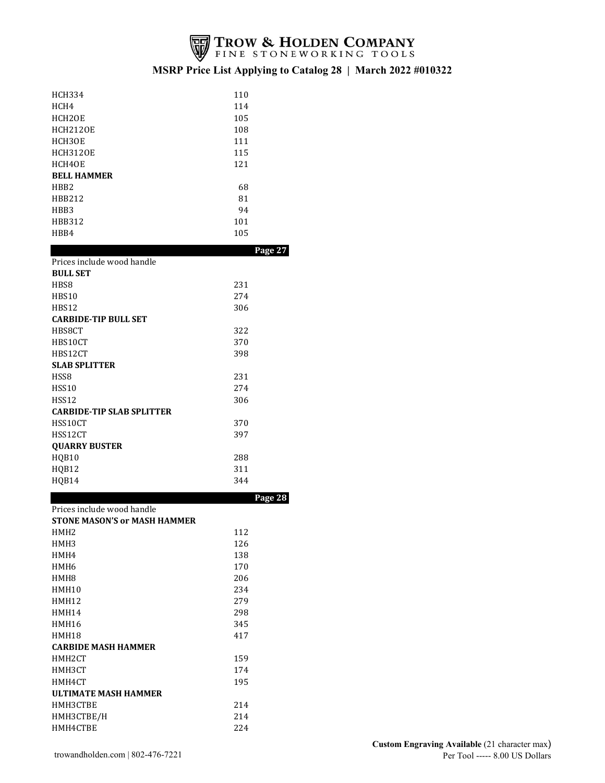

| <b>HCH334</b>       | 110 |
|---------------------|-----|
| HCH4                | 114 |
| HCH <sub>2</sub> OE | 105 |
| <b>HCH2120E</b>     | 108 |
| HCH3OE              | 111 |
| <b>HCH3120E</b>     | 115 |
| HCH4OE              | 121 |
| <b>BELL HAMMER</b>  |     |
| HBB <sub>2</sub>    | 68  |
| HBB212              | 81  |
| HBB3                | 94  |
| HBB312              | 101 |
| HBB4                | 105 |
|                     |     |

|                                  | Page 27 |
|----------------------------------|---------|
| Prices include wood handle       |         |
| <b>BULL SET</b>                  |         |
| HBS8                             | 231     |
| HBS10                            | 274     |
| HBS12                            | 306     |
| <b>CARBIDE-TIP BULL SET</b>      |         |
| HBS8CT                           | 322     |
| HBS10CT                          | 370     |
| HBS12CT                          | 398     |
| <b>SLAB SPLITTER</b>             |         |
| HSS8                             | 231     |
| HSS10                            | 274     |
| HSS12                            | 306     |
| <b>CARBIDE-TIP SLAB SPLITTER</b> |         |
| HSS10CT                          | 370     |
| HSS12CT                          | 397     |
| <b>QUARRY BUSTER</b>             |         |
| HQB10                            | 288     |
| HQB12                            | 311     |
| HQB14                            | 344     |
|                                  |         |

|                                     |     | Page 28 |
|-------------------------------------|-----|---------|
| Prices include wood handle          |     |         |
| <b>STONE MASON'S or MASH HAMMER</b> |     |         |
| HMH <sub>2</sub>                    | 112 |         |
| HMH3                                | 126 |         |
| HMH4                                | 138 |         |
| HMH <sub>6</sub>                    | 170 |         |
| HMH8                                | 206 |         |
| HMH10                               | 234 |         |
| HMH12                               | 279 |         |
| HMH14                               | 298 |         |
| HMH16                               | 345 |         |
| HMH18                               | 417 |         |
| <b>CARBIDE MASH HAMMER</b>          |     |         |
| HMH2CT                              | 159 |         |
| HMH3CT                              | 174 |         |
| HMH4CT                              | 195 |         |
| ULTIMATE MASH HAMMER                |     |         |
| HMH3CTBE                            | 214 |         |
| НМНЗСТВЕ/Н                          | 214 |         |
| HMH4CTBE                            | 224 |         |
|                                     |     |         |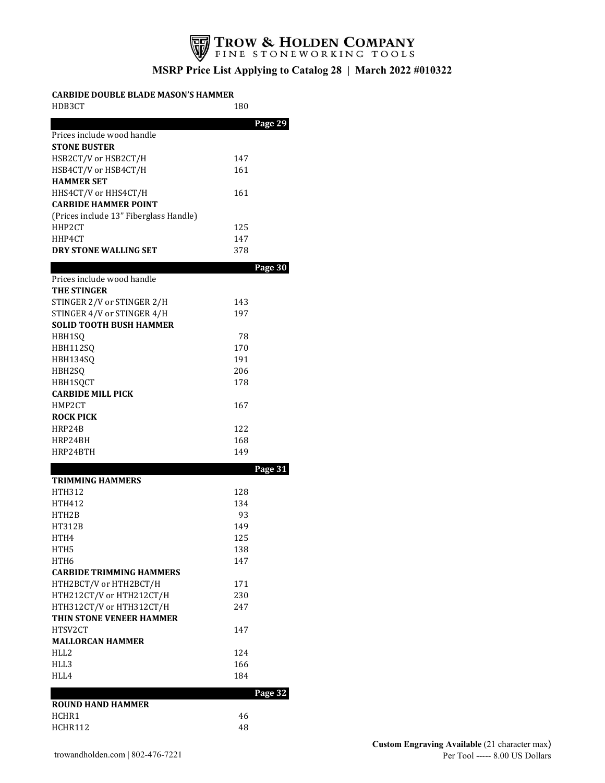

#### **CARBIDE DOUBLE BLADE MASON'S HAMMER**

| HDB3CT                                 | 180        |  |
|----------------------------------------|------------|--|
|                                        | Page 29    |  |
| Prices include wood handle             |            |  |
| <b>STONE BUSTER</b>                    |            |  |
| HSB2CT/V or HSB2CT/H                   | 147        |  |
| HSB4CT/V or HSB4CT/H                   | 161        |  |
| <b>HAMMER SET</b>                      |            |  |
| HHS4CT/V or HHS4CT/H                   | 161        |  |
| <b>CARBIDE HAMMER POINT</b>            |            |  |
| (Prices include 13" Fiberglass Handle) |            |  |
| HHP2CT                                 | 125        |  |
| HHP4CT                                 | 147        |  |
| DRY STONE WALLING SET                  | 378        |  |
|                                        | Page 30    |  |
| Prices include wood handle             |            |  |
| <b>THE STINGER</b>                     |            |  |
| STINGER 2/V or STINGER 2/H             | 143        |  |
| STINGER 4/V or STINGER 4/H             | 197        |  |
| <b>SOLID TOOTH BUSH HAMMER</b>         |            |  |
| HBH1SO                                 | 78         |  |
| HBH112SQ                               | 170        |  |
| HBH134SQ                               | 191        |  |
| HBH2SQ                                 | 206        |  |
| HBH1SQCT                               | 178        |  |
| <b>CARBIDE MILL PICK</b>               |            |  |
| HMP2CT                                 | 167        |  |
| <b>ROCK PICK</b>                       |            |  |
| HRP24B<br>HRP24BH                      | 122<br>168 |  |
| HRP24BTH                               | 149        |  |
|                                        |            |  |
| <b>TRIMMING HAMMERS</b>                | Page 31    |  |
| <b>HTH312</b>                          | 128        |  |
| <b>HTH412</b>                          | 134        |  |
| HTH2B                                  | 93         |  |
| HT312B                                 | 149        |  |
| HTH4                                   | 125        |  |
| HTH5                                   | 138        |  |
| HTH6                                   | 147        |  |
| <b>CARBIDE TRIMMING HAMMERS</b>        |            |  |
| HTH2BCT/V or HTH2BCT/H                 | 171        |  |
| HTH212CT/V or HTH212CT/H               | 230        |  |
| HTH312CT/V or HTH312CT/H               | 247        |  |
| THIN STONE VENEER HAMMER               |            |  |
| HTSV2CT                                | 147        |  |
| <b>MALLORCAN HAMMER</b>                |            |  |
| HLL2                                   | 124        |  |
| HLL3                                   | 166        |  |
| HLL4                                   | 184        |  |
|                                        | Page 32    |  |
| <b>ROUND HAND HAMMER</b>               |            |  |
| HCHR1                                  | 46         |  |
| HCHR112                                | 48         |  |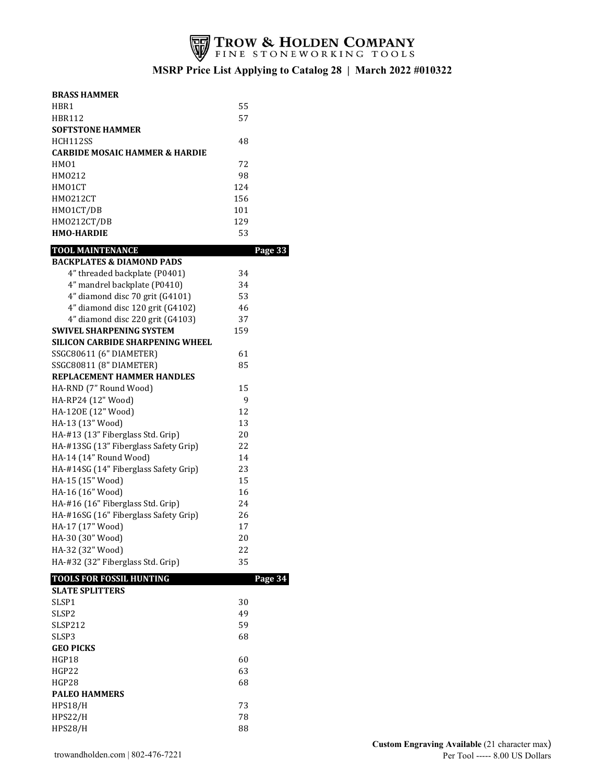

| <b>BRASS HAMMER</b>                       |          |         |
|-------------------------------------------|----------|---------|
| HBR1                                      | 55       |         |
| <b>HBR112</b>                             | 57       |         |
| <b>SOFTSTONE HAMMER</b>                   |          |         |
| HCH112SS                                  | 48       |         |
| <b>CARBIDE MOSAIC HAMMER &amp; HARDIE</b> |          |         |
| HM01                                      | 72       |         |
| HM0212                                    | 98       |         |
| HMO1CT                                    | 124      |         |
| <b>HMO212CT</b>                           | 156      |         |
| HMO1CT/DB                                 | 101      |         |
| HMO212CT/DB                               | 129      |         |
| <b>HMO-HARDIE</b>                         | 53       |         |
| <b>TOOL MAINTENANCE</b>                   |          | Page 33 |
| <b>BACKPLATES &amp; DIAMOND PADS</b>      |          |         |
| 4" threaded backplate (P0401)             | 34       |         |
| 4" mandrel backplate (P0410)              | 34       |         |
| 4" diamond disc 70 grit (G4101)           | 53       |         |
| 4" diamond disc 120 grit (G4102)          | 46       |         |
| 4" diamond disc 220 grit (G4103)          | 37       |         |
| <b>SWIVEL SHARPENING SYSTEM</b>           | 159      |         |
| SILICON CARBIDE SHARPENING WHEEL          |          |         |
| SSGC80611 (6" DIAMETER)                   | 61       |         |
| SSGC80811 (8" DIAMETER)                   | 85       |         |
| REPLACEMENT HAMMER HANDLES                |          |         |
| HA-RND (7" Round Wood)                    | 15       |         |
| HA-RP24 (12" Wood)                        | 9        |         |
| HA-120E (12" Wood)                        | 12       |         |
| HA-13 (13" Wood)                          | 13       |         |
|                                           |          |         |
|                                           |          |         |
| HA-#13 (13" Fiberglass Std. Grip)         | 20       |         |
| HA-#13SG (13" Fiberglass Safety Grip)     | 22       |         |
| HA-14 (14" Round Wood)                    | 14       |         |
| HA-#14SG (14" Fiberglass Safety Grip)     | 23       |         |
| HA-15 (15" Wood)                          | 15       |         |
| HA-16 (16" Wood)                          | 16       |         |
| HA-#16 (16" Fiberglass Std. Grip)         | 24       |         |
| HA-#16SG (16" Fiberglass Safety Grip)     | 26       |         |
| HA-17 (17" Wood)                          | 17       |         |
| HA-30 (30" Wood)                          | 20       |         |
| HA-32 (32" Wood)                          | 22       |         |
| HA-#32 (32" Fiberglass Std. Grip)         | 35       |         |
| TOOLS FOR FOSSIL HUNTING                  |          | Page 34 |
| <b>SLATE SPLITTERS</b>                    |          |         |
| SLSP1                                     | 30       |         |
| SLSP <sub>2</sub>                         | 49       |         |
| SLSP212                                   | 59       |         |
| SLSP3                                     | 68       |         |
| <b>GEO PICKS</b>                          |          |         |
| HGP18                                     | 60       |         |
| HGP22                                     | 63       |         |
| HGP28                                     | 68       |         |
| <b>PALEO HAMMERS</b>                      |          |         |
| HPS18/H                                   | 73       |         |
| <b>HPS22/H</b><br><b>HPS28/H</b>          | 78<br>88 |         |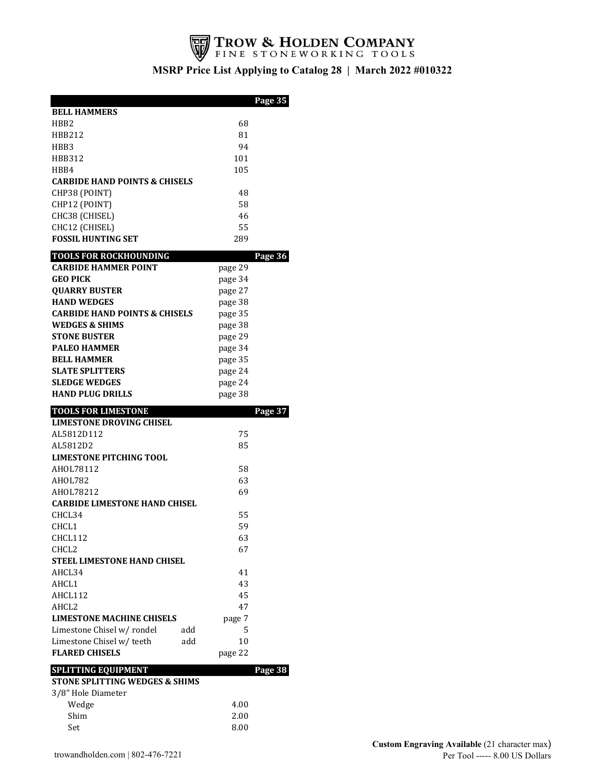

|                                                |           | Page 35 |
|------------------------------------------------|-----------|---------|
| <b>BELL HAMMERS</b>                            |           |         |
| HBB <sub>2</sub>                               | 68        |         |
| HBB212                                         | 81        |         |
| HBB3                                           | 94        |         |
| <b>HBB312</b>                                  | 101       |         |
| HBB4                                           | 105       |         |
| <b>CARBIDE HAND POINTS &amp; CHISELS</b>       |           |         |
| CHP38 (POINT)                                  | 48        |         |
| CHP12 (POINT)                                  | 58        |         |
| CHC38 (CHISEL)                                 | 46        |         |
| CHC12 (CHISEL)<br><b>FOSSIL HUNTING SET</b>    | 55<br>289 |         |
|                                                |           |         |
| <b>TOOLS FOR ROCKHOUNDING</b>                  |           | Page 36 |
| <b>CARBIDE HAMMER POINT</b>                    | page 29   |         |
| <b>GEO PICK</b>                                | page 34   |         |
| <b>OUARRY BUSTER</b>                           | page 27   |         |
| <b>HAND WEDGES</b>                             | page 38   |         |
| <b>CARBIDE HAND POINTS &amp; CHISELS</b>       | page 35   |         |
| <b>WEDGES &amp; SHIMS</b>                      | page 38   |         |
| <b>STONE BUSTER</b>                            | page 29   |         |
| <b>PALEO HAMMER</b>                            | page 34   |         |
| <b>BELL HAMMER</b>                             | page 35   |         |
| <b>SLATE SPLITTERS</b><br><b>SLEDGE WEDGES</b> | page 24   |         |
| <b>HAND PLUG DRILLS</b>                        | page 24   |         |
|                                                | page 38   |         |
| <b>TOOLS FOR LIMESTONE</b>                     |           | Page 37 |
| <b>LIMESTONE DROVING CHISEL</b>                |           |         |
| AL5812D112                                     | 75<br>85  |         |
| AL5812D2<br><b>LIMESTONE PITCHING TOOL</b>     |           |         |
|                                                |           |         |
| AHOL78112<br><b>AHOL782</b>                    | 58<br>63  |         |
| AHOL78212                                      | 69        |         |
| <b>CARBIDE LIMESTONE HAND CHISEL</b>           |           |         |
| CHCL34                                         | 55        |         |
| CHCL <sub>1</sub>                              | 59        |         |
| CHCL112                                        | 63        |         |
| CHCL <sub>2</sub>                              | 67        |         |
| <b>STEEL LIMESTONE HAND CHISEL</b>             |           |         |
| AHCL34                                         | 41        |         |
| AHCL1                                          | 43        |         |
| AHCL112                                        | 45        |         |
| AHCL2                                          | 47        |         |
| <b>LIMESTONE MACHINE CHISELS</b>               | page 7    |         |
| Limestone Chisel w/ rondel<br>add              | 5         |         |
| Limestone Chisel w/teeth<br>add                | 10        |         |
| <b>FLARED CHISELS</b>                          | page 22   |         |
| <b>SPLITTING EQUIPMENT</b>                     |           | Page 38 |
| <b>STONE SPLITTING WEDGES &amp; SHIMS</b>      |           |         |
| 3/8" Hole Diameter                             |           |         |
| Wedge                                          | 4.00      |         |
| Shim                                           | 2.00      |         |
| Set                                            | 8.00      |         |
|                                                |           |         |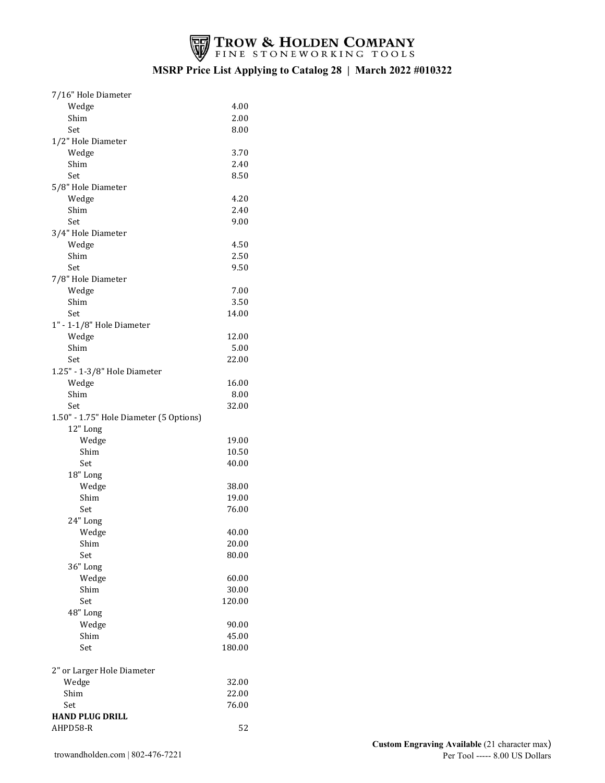

| 7/16" Hole Diameter                     |        |
|-----------------------------------------|--------|
| Wedge                                   | 4.00   |
| Shim                                    | 2.00   |
| Set                                     | 8.00   |
| 1/2" Hole Diameter                      |        |
| Wedge                                   | 3.70   |
| Shim                                    | 2.40   |
| Set                                     | 8.50   |
| 5/8" Hole Diameter                      |        |
| Wedge                                   | 4.20   |
| Shim                                    | 2.40   |
| Set                                     | 9.00   |
| 3/4" Hole Diameter                      |        |
| Wedge                                   | 4.50   |
|                                         |        |
| Shim                                    | 2.50   |
| Set                                     | 9.50   |
| 7/8" Hole Diameter                      |        |
| Wedge                                   | 7.00   |
| Shim                                    | 3.50   |
| Set                                     | 14.00  |
| 1" - 1-1/8" Hole Diameter               |        |
| Wedge                                   | 12.00  |
| Shim                                    | 5.00   |
| Set                                     | 22.00  |
| 1.25" - 1-3/8" Hole Diameter            |        |
| Wedge                                   | 16.00  |
| Shim                                    | 8.00   |
| Set                                     | 32.00  |
| 1.50" - 1.75" Hole Diameter (5 Options) |        |
| 12" Long                                |        |
| Wedge                                   | 19.00  |
| Shim                                    | 10.50  |
| Set                                     | 40.00  |
| 18" Long                                |        |
| Wedge                                   | 38.00  |
| Shim                                    | 19.00  |
| Set                                     | 76.00  |
| 24" Long                                |        |
| Wedge                                   | 40.00  |
| Shim                                    | 20.00  |
| Set                                     | 80.00  |
| 36" Long                                |        |
| Wedge                                   | 60.00  |
| Shim                                    | 30.00  |
| Set                                     | 120.00 |
|                                         |        |
| 48" Long                                |        |
| Wedge                                   | 90.00  |
| Shim                                    | 45.00  |
| Set                                     | 180.00 |
| 2" or Larger Hole Diameter              |        |
| Wedge                                   | 32.00  |
| Shim                                    | 22.00  |
| Set                                     | 76.00  |
| <b>HAND PLUG DRILL</b>                  |        |
| AHPD58-R                                | 52     |
|                                         |        |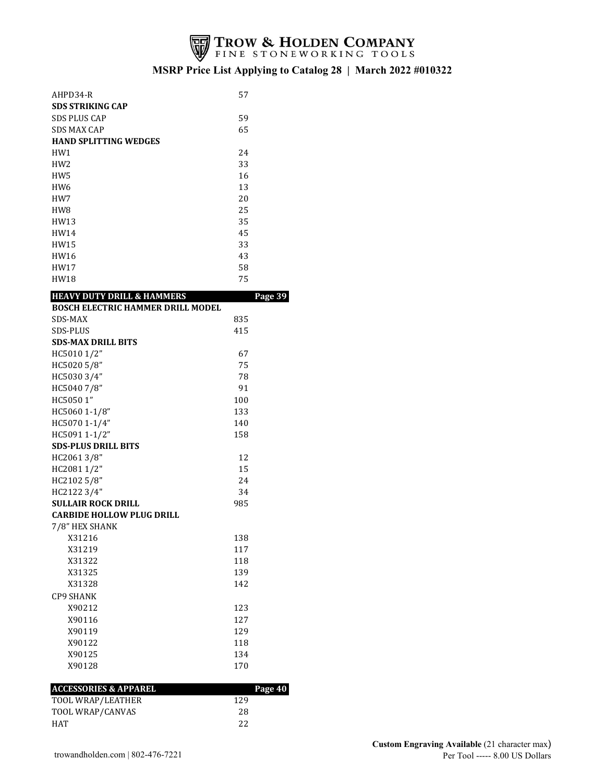

| AHPD34-R                                 | 57  |         |
|------------------------------------------|-----|---------|
| <b>SDS STRIKING CAP</b>                  |     |         |
| <b>SDS PLUS CAP</b>                      | 59  |         |
| <b>SDS MAX CAP</b>                       | 65  |         |
| <b>HAND SPLITTING WEDGES</b>             |     |         |
| HW1                                      | 24  |         |
| HW <sub>2</sub>                          | 33  |         |
| HW <sub>5</sub>                          | 16  |         |
| HW <sub>6</sub>                          | 13  |         |
| HW7                                      | 20  |         |
| HW <sub>8</sub>                          | 25  |         |
| HW13                                     | 35  |         |
| HW14                                     | 45  |         |
| HW15                                     | 33  |         |
| HW16                                     | 43  |         |
| HW17                                     | 58  |         |
| HW18                                     | 75  |         |
| <b>HEAVY DUTY DRILL &amp; HAMMERS</b>    |     | Page 39 |
| <b>BOSCH ELECTRIC HAMMER DRILL MODEL</b> |     |         |
| SDS-MAX                                  | 835 |         |
| <b>SDS-PLUS</b>                          | 415 |         |
| <b>SDS-MAX DRILL BITS</b>                |     |         |
| HC5010 1/2"                              | 67  |         |
| HC5020 5/8"                              | 75  |         |
| HC5030 3/4"                              | 78  |         |
| HC50407/8"                               | 91  |         |
| HC5050 1"                                | 100 |         |
| HC5060 1-1/8"                            | 133 |         |
| HC5070 1-1/4"                            | 140 |         |
| HC5091 1-1/2"                            | 158 |         |
| <b>SDS-PLUS DRILL BITS</b>               |     |         |
| HC20613/8"                               | 12  |         |
| HC2081 1/2"                              | 15  |         |
| HC2102 5/8"                              | 24  |         |
| HC2122 3/4"                              | 34  |         |
| <b>SULLAIR ROCK DRILL</b>                | 985 |         |
| <b>CARBIDE HOLLOW PLUG DRILL</b>         |     |         |
| 7/8" HEX SHANK                           |     |         |
| X31216                                   | 138 |         |
| X31219                                   | 117 |         |
| X31322                                   | 118 |         |
| X31325                                   | 139 |         |
| X31328                                   | 142 |         |
| <b>CP9 SHANK</b>                         |     |         |
| X90212                                   | 123 |         |
| X90116                                   | 127 |         |
| X90119                                   | 129 |         |
| X90122                                   | 118 |         |
| X90125                                   | 134 |         |
| X90128                                   | 170 |         |
|                                          |     |         |
| <b>ACCESSORIES &amp; APPAREL</b>         |     | Page 40 |
| TOOL WRAP/LEATHER                        | 129 |         |
| TOOL WRAP/CANVAS                         | 28  |         |
| HAT                                      | 22  |         |
|                                          |     |         |